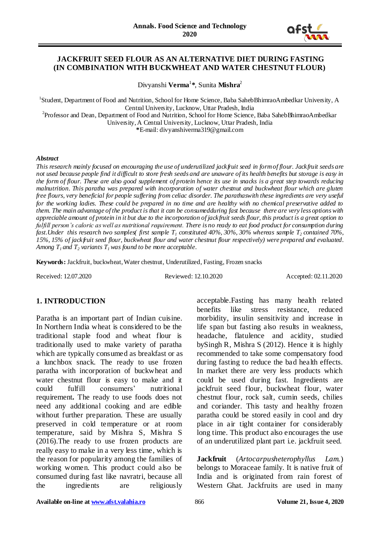

### **JACKFRUIT SEED FLOUR AS AN ALTERNATIVE DIET DURING FASTING (IN COMBINATION WITH BUCKWHEAT AND WATER CHESTNUT FLOUR)**

Divyanshi **Verma**<sup>1</sup> **\***, Sunita **Mishra**<sup>2</sup>

<sup>1</sup>Student, Department of Food and Nutrition, School for Home Science, Baba SahebBhimraoAmbedkar University, A Central University, Lucknow, Uttar Pradesh, India <sup>2</sup>Professor and Dean, Department of Food and Nutrition, School for Home Science, Baba SahebBhimraoAmbedkar University, A Central University, Lucknow, Uttar Pradesh, India

**\***E-mail: divyanshiverma319@gmail.com

#### *Abstract*

*This research mainly focused on encouraging the use of underutilized jackfruit seed in form of flour. Jackfruit seeds are not used because people find it difficult to store fresh seeds and are unaware of its health benefits but storage is easy in the form of flour. These are also good supplement of protein hence its use in snacks is a great step towards reducing malnutrition. This paratha was prepared with incorporation of water chestnut and buckwheat flour which are gluten free flours, very beneficial for people suffering from celiac disorder. The parathaswith these ingredients are very useful for the working ladies. These could be prepared in no time and are healthy with no chemical preservative added to them. The main advantage of the product is that it can be consumedduring fast because there are very less options with appreciable amount of protein in it but due to the incorporation of jackfruit seeds flour, this product is a great option to fulfill person's caloric as well as nutritional requirement. There is no ready to eat food product for consumption during fast.Under this research two samples( first sample T<sup>1</sup> constituted 40%, 30%, 30% whereas sample T<sup>2</sup> contained 70%, 15%, 15% of jackfruit seed flour, buckwheat flour and water chestnut flour respectively) were prepared and evaluated. Among*  $T_1$  *and*  $T_2$  *variants*  $T_1$  *was found to be more acceptable.* 

**Keywords:** Jackfruit, buckwheat, Water chestnut, Underutilized, Fasting, Frozen snacks

Received: 12.07.2020 Reviewed: 12.10.2020 Accepted: 02.11.2020

# **1. INTRODUCTION**

Paratha is an important part of Indian cuisine. In Northern India wheat is considered to be the traditional staple food and wheat flour is traditionally used to make variety of paratha which are typically consumed as breakfast or as a lunchbox snack. The ready to use frozen paratha with incorporation of buckwheat and water chestnut flour is easy to make and it could fulfill consumers' nutritional requirement**.** The ready to use foods does not need any additional cooking and are edible without further preparation. These are usually preserved in cold temperature or at room temperature, said by Mishra S, Mishra S (2016).The ready to use frozen products are really easy to make in a very less time, which is the reason for popularity among the families of working women. This product could also be consumed during fast like navratri, because all the ingredients are religiously

acceptable.Fasting has many health related benefits like stress resistance, reduced morbidity, insulin sensitivity and increase in life span but fasting also results in weakness, headache, flatulence and acidity, studied bySingh R, Mishra S (2012). Hence it is highly recommended to take some compensatory food during fasting to reduce the bad health effects. In market there are very less products which could be used during fast. Ingredients are jackfruit seed flour, buckwheat flour, water chestnut flour, rock salt, cumin seeds, chilies and coriander. This tasty and healthy frozen paratha could be stored easily in cool and dry place in air tight container for considerably long time. This product also encourages the use of an underutilized plant part i.e. jackfruit seed.

**Jackfruit** (*Artocarpusheterophyllus Lam.*) belongs to Moraceae family. It is native fruit of India and is originated from rain forest of Western Ghat. Jackfruits are used in many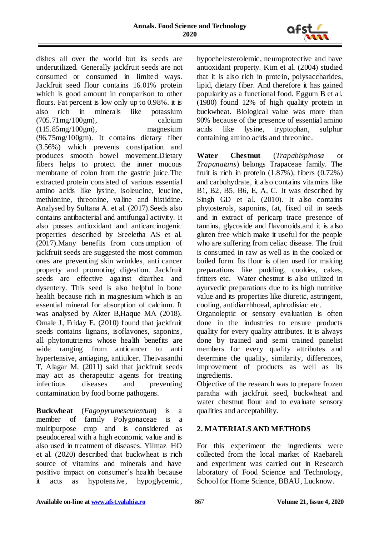

dishes all over the world but its seeds are underutilized. Generally jackfruit seeds are not consumed or consumed in limited ways. Jackfruit seed flour contains 16.01% protein which is good amount in comparison to other flours. Fat percent is low only up to 0.98%. it is also rich in minerals like potassium (705.71mg/100gm), calcium (115.85mg/100gm), magnesium (96.75mg/100gm). It contains dietary fiber (3.56%) which prevents constipation and produces smooth bowel movement.Dietary fibers helps to protect the inner mucous membrane of colon from the gastric juice.The extracted protein consisted of various essential amino acids like lysine, isoleucine, leucine, methionine, threonine, valine and histidine. Analysed by Sultana A. et al. (2017).Seeds also contains antibacterial and antifungal activity. It also posses antioxidant and anticarcinogenic properties' described by Sreeletha AS et al. (2017).Many benefits from consumption of jackfruit seeds are suggested the most common ones are preventing skin wrinkles, anti cancer property and promoting digestion. Jackfruit seeds are effective against diarrhea and dysentery. This seed is also helpful in bone health because rich in magnesium which is an essential mineral for absorption of calcium. It was analysed by Akter B,Haque MA (2018). Omale J, Friday E. (2010) found that jackfruit seeds contains lignans, isoflavones, saponins, all phytonutrients whose health benefits are wide ranging from anticancer to anti hypertensive, antiaging, antiulcer. Theivasanthi T, Alagar M. (2011) said that jackfruit seeds may act as therapeutic agents for treating infectious diseases and preventing contamination by food borne pathogens.

**Buckwheat** (*Fagopyrumesculentum*) is a member of family Polygonaceae is a multipurpose crop and is considered as pseudocereal with a high economic value and is also used in treatment of diseases. Yilmaz HO et al. (2020) described that buckwheat is rich source of vitamins and minerals and have positive impact on consumer's health because it acts as hypotensive, hypoglycemic, hypochelesterolemic, neuroprotective and have antioxidant property. Kim et al. (2004) studied that it is also rich in protein, polysaccharides, lipid, dietary fiber. And therefore it has gained popularity as a functional food. Eggum B et al. (1980) found 12% of high quality protein in buckwheat. Biological value was more than 90% because of the presence of essential amino<br>acids like lysine, tryptophan, sulphur acids like lysine, tryptophan, containing amino acids and threonine.

**Water Chestnut** (*Trapabispinosa* or *Trapanatans*) belongs Trapaceae family. The fruit is rich in protein  $(1.87\%)$ , fibers  $(0.72\%)$ and carbohydrate, it also contains vitamins like B1, B2, B5, B6, E, A, C. It was described by Singh GD et al. (2010). It also contains phytosterols, saponins, fat, fixed oil in seeds and in extract of pericarp trace presence of tannins, glycoside and flavonoids.and it is also gluten free which make it useful for the people who are suffering from celiac disease. The fruit is consumed in raw as well as in the cooked or boiled form. Its flour is often used for making preparations like pudding, cookies, cakes, fritters etc. Water chestnut is also utilized in ayurvedic preparations due to its high nutritive value and its properties like diuretic, astringent, cooling, antidiarrhhoeal, aphrodisiac etc.

Organoleptic or sensory evaluation is often done in the industries to ensure products quality for every quality attributes. It is always done by trained and semi trained panelist members for every quality attributes and determine the quality, similarity, differences, improvement of products as well as its ingredients.

Objective of the research was to prepare frozen paratha with jackfruit seed, buckwheat and water chestnut flour and to evaluate sensory qualities and acceptability.

# **2. MATERIALS AND METHODS**

For this experiment the ingredients were collected from the local market of Raebareli and experiment was carried out in Research laboratory of Food Science and Technology, School for Home Science, BBAU, Lucknow.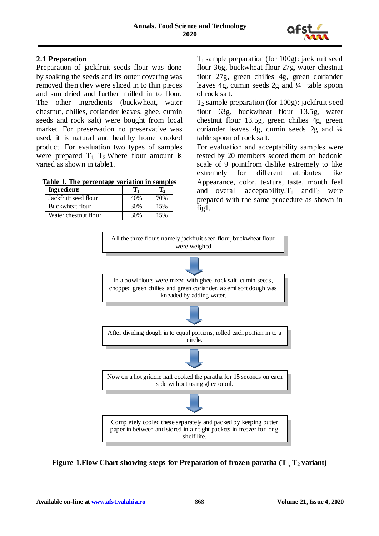

# **2.1 Preparation**

Preparation of jackfruit seeds flour was done by soaking the seeds and its outer covering was removed then they were sliced in to thin pieces and sun dried and further milled in to flour. The other ingredients (buckwheat, water chestnut, chilies, coriander leaves, ghee, cumin seeds and rock salt) were bought from local market. For preservation no preservative was used, it is natural and healthy home cooked product. For evaluation two types of samples were prepared  $T_1$ ,  $T_2$ . Where flour amount is varied as shown in table1.

**Table 1. The percentage variation in samples**

| <b>Ingredients</b>   |     |     |
|----------------------|-----|-----|
| Jackfruit seed flour | 40% | 70% |
| Buckwheat flour      | 30% | 15% |
| Water chestnut flour | 30% | 15% |

 $T_1$  sample preparation (for 100g): jackfruit seed flour 36g, buckwheat flour 27g, water chestnut flour 27g, green chilies 4g, green coriander leaves 4g, cumin seeds 2g and ¼ table spoon of rock salt.

 $T_2$  sample preparation (for 100g): jackfruit seed flour 63g, buckwheat flour 13.5g, water chestnut flour 13.5g, green chilies 4g, green coriander leaves 4g, cumin seeds 2g and ¼ table spoon of rock salt.

For evaluation and acceptability samples were tested by 20 members scored them on hedonic scale of 9 pointfrom dislike extremely to like extremely for different attributes like Appearance, color, texture, taste, mouth feel and overall acceptability.  $T_1$  and  $T_2$  were prepared with the same procedure as shown in fig1.



**Figure 1.Flow Chart showing steps for Preparation of frozen paratha (T1, T2 variant)**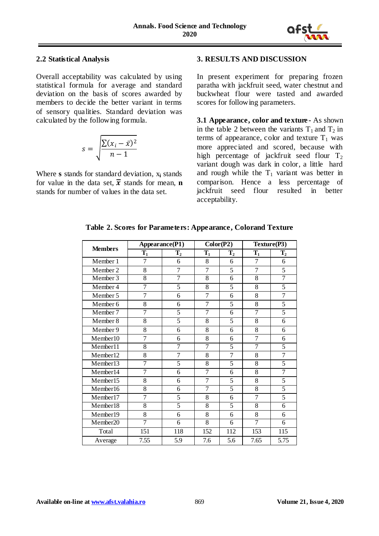

### **2.2 Statistical Analysis**

Overall acceptability was calculated by using statistical formula for average and standard deviation on the basis of scores awarded by members to decide the better variant in terms of sensory qualities. Standard deviation was calculated by the following formula.

$$
s = \sqrt{\frac{\sum (x_i - \bar{x})^2}{n - 1}}
$$

Where **s** stands for standard deviation, x**<sup>i</sup>** stands for value in the data set,  $\bar{x}$  stands for mean, **n** stands for number of values in the data set.

### **3. RESULTS AND DISCUSSION**

In present experiment for preparing frozen paratha with jackfruit seed, water chestnut and buckwheat flour were tasted and awarded scores for following parameters.

**3.1 Appearance, color and texture -** As shown in the table 2 between the variants  $T_1$  and  $T_2$  in terms of appearance, color and texture  $T_1$  was more appreciated and scored, because with high percentage of jackfruit seed flour  $T_2$ variant dough was dark in color, a little hard and rough while the  $T_1$  variant was better in comparison. Hence a less percentage of jackfruit seed flour resulted in better acceptability.

|                | Appearance(P1) |                | Color(P2)      |                | Texture(P3)    |                |
|----------------|----------------|----------------|----------------|----------------|----------------|----------------|
| <b>Members</b> | $\mathbf{T}_1$ | $\mathbf{T}_2$ | $T_1$          | $\mathbf{T}_2$ | $T_1$          | $\mathbf{T}_2$ |
| Member 1       | $\overline{7}$ | 6              | 8              | 6              | $\overline{7}$ | 6              |
| Member 2       | 8              | $\overline{7}$ | $\overline{7}$ | 5              | $\overline{7}$ | 5              |
| Member 3       | $\overline{8}$ | $\overline{7}$ | 8              | 6              | 8              | 7              |
| Member 4       | $\overline{7}$ | 5              | 8              | $\overline{5}$ | 8              | 5              |
| Member 5       | $\overline{7}$ | 6              | 7              | 6              | 8              | $\overline{7}$ |
| Member 6       | 8              | 6              | 7              | 5              | 8              | 5              |
| Member 7       | $\overline{7}$ | 5              | 7              | 6              | $\overline{7}$ | 5              |
| Member 8       | $\overline{8}$ | 5              | 8              | 5              | 8              | 6              |
| Member 9       | $\overline{8}$ | 6              | 8              | 6              | $\overline{8}$ | 6              |
| Member10       | 7              | 6              | 8              | 6              | 7              | 6              |
| Member11       | $\overline{8}$ | $\overline{7}$ | 7              | 5              | 7              | 5              |
| Member12       | 8              | $\overline{7}$ | 8              | $\overline{7}$ | 8              | $\overline{7}$ |
| Member13       | $\overline{7}$ | 5              | 8              | 5              | 8              | 5              |
| Member14       | 7              | 6              | 7              | 6              | 8              | $\overline{7}$ |
| Member15       | 8              | 6              | 7              | 5              | 8              | 5              |
| Member16       | 8              | 6              | 7              | 5              | 8              | $\overline{5}$ |
| Member17       | $\overline{7}$ | 5              | 8              | 6              | $\overline{7}$ | 5              |
| Member18       | $\overline{8}$ | $\overline{5}$ | 8              | $\overline{5}$ | $\overline{8}$ | 6              |
| Member19       | 8              | 6              | 8              | 6              | 8              | 6              |
| Member20       | 7              | 6              | $\overline{8}$ | 6              | 7              | 6              |
| Total          | 151            | 118            | 152            | 112            | 153            | 115            |
| Average        | 7.55           | 5.9            | 7.6            | 5.6            | 7.65           | 5.75           |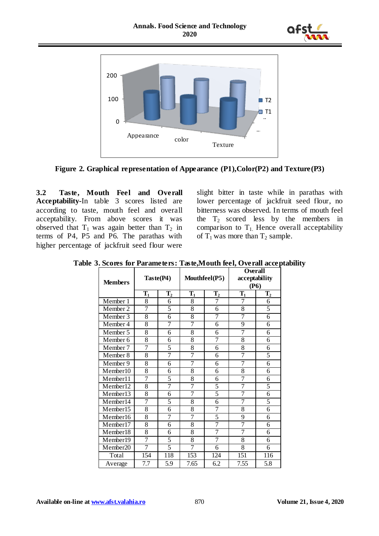



**Figure 2. Graphical representation of Appearance (P1),Color(P2) and Texture(P3)**

**3.2 Taste, Mouth Feel and Overall Acceptability-**In table 3 scores listed are according to taste, mouth feel and overall acceptability. From above scores it was observed that  $T_1$  was again better than  $T_2$  in terms of P4, P5 and P6. The parathas with higher percentage of jackfruit seed flour were

slight bitter in taste while in parathas with lower percentage of jackfruit seed flour, no bitterness was observed. In terms of mouth feel the  $T_2$  scored less by the members in comparison to  $T_1$ . Hence overall acceptability of  $T_1$  was more than  $T_2$  sample.

|  |  |  |  |  |  |  | Table 3. Scores for Parameters: Taste, Mouth feel, Overall acceptability |
|--|--|--|--|--|--|--|--------------------------------------------------------------------------|
|--|--|--|--|--|--|--|--------------------------------------------------------------------------|

| <b>Members</b> |                | Taste(P4)<br>Mouthfeel(P5) |                | <b>Overall</b><br>acceptability<br>(P6) |                |                |
|----------------|----------------|----------------------------|----------------|-----------------------------------------|----------------|----------------|
|                | $\mathbf{T}_1$ | $\mathbf{T}_2$             | $T_1$          | $\mathbf{T}_2$                          | $\mathbf{T}_1$ | $\mathbf{T}_2$ |
| Member 1       | 8              | 6                          | 8              | 7                                       | 7              | 6              |
| Member 2       | 7              | 5                          | $\overline{8}$ | 6                                       | $\overline{8}$ | 5              |
| Member 3       | 8              | $\overline{6}$             | 8              | 7                                       | 7              | 6              |
| Member 4       | 8              | 7                          | 7              | 6                                       | 9              | 6              |
| Member 5       | 8              | 6                          | 8              | 6                                       | $\overline{7}$ | 6              |
| Member 6       | 8              | 6                          | 8              | 7                                       | 8              | 6              |
| Member 7       | 7              | $\overline{5}$             | $\overline{8}$ | 6                                       | $\overline{8}$ | 6              |
| Member 8       | 8              | 7                          | 7              | 6                                       | 7              | 5              |
| Member 9       | 8              | 6                          | 7              | 6                                       | 7              | 6              |
| Member10       | 8              | 6                          | 8              | 6                                       | $\overline{8}$ | 6              |
| Member11       | 7              | 5                          | 8              | 6                                       | 7              | 6              |
| Member12       | 8              | 7                          | 7              | 5                                       | $\overline{7}$ | 5              |
| Member13       | 8              | 6                          | 7              | 5                                       | $\overline{7}$ | 6              |
| Member14       | $\overline{7}$ | 5                          | 8              | 6                                       | $\overline{7}$ | 5              |
| Member15       | 8              | 6                          | $\overline{8}$ | 7                                       | $\overline{8}$ | 6              |
| Member16       | 8              | 7                          | 7              | 5                                       | 9              | 6              |
| Member17       | $\overline{8}$ | 6                          | $\overline{8}$ | 7                                       | 7              | 6              |
| Member18       | 8              | 6                          | 8              | 7                                       | 7              | 6              |
| Member19       | $\overline{7}$ | 5                          | 8              | $\overline{7}$                          | 8              | 6              |
| Member20       | $\overline{7}$ | 5                          | $\overline{7}$ | 6                                       | $\overline{8}$ | 6              |
| Total          | 154            | 118                        | 153            | 124                                     | 151            | 116            |
| Average        | 7.7            | 5.9                        | 7.65           | 6.2                                     | 7.55           | 5.8            |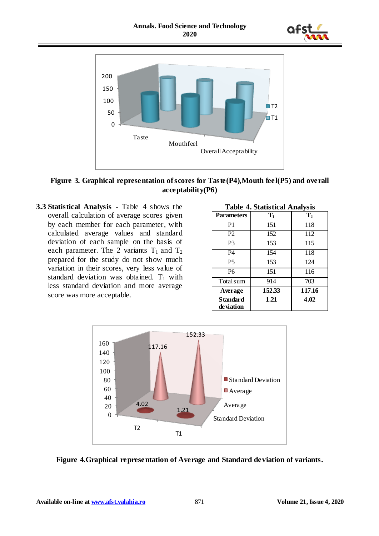![](_page_5_Picture_1.jpeg)

![](_page_5_Figure_2.jpeg)

**Figure 3. Graphical representation of scores for Taste(P4),Mouth feel(P5) and overall acceptability(P6)**

**3.3 Statistical Analysis -** Table 4 shows the overall calculation of average scores given by each member for each parameter, with calculated average values and standard deviation of each sample on the basis of each parameter. The 2 variants  $T_1$  and  $T_2$ prepared for the study do not show much variation in their scores, very less value of standard deviation was obtained.  $T_1$  with less standard deviation and more average score was more acceptable.

| <b>Table 4. Statistical Analysis</b> |        |                |  |  |  |
|--------------------------------------|--------|----------------|--|--|--|
| <b>Parameters</b>                    | $T_1$  | $\mathbf{T}_2$ |  |  |  |
| P1                                   | 151    | 118            |  |  |  |
| P <sub>2</sub>                       | 152    | 112            |  |  |  |
| P3                                   | 153    | 115            |  |  |  |
| P4                                   | 154    | 118            |  |  |  |
| $\overline{P5}$                      | 153    | 124            |  |  |  |
| P6                                   | 151    | 116            |  |  |  |
| Total sum                            | 914    | 703            |  |  |  |
| Average                              | 152.33 | 117.16         |  |  |  |
| <b>Standard</b><br>de viation        | 1.21   | 4.02           |  |  |  |

![](_page_5_Figure_6.jpeg)

![](_page_5_Figure_7.jpeg)